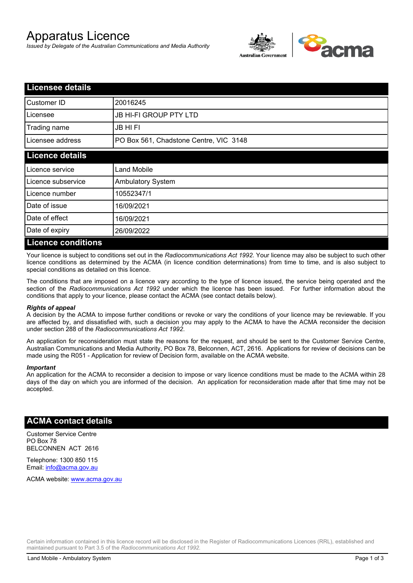# Apparatus Licence

*Issued by Delegate of the Australian Communications and Media Authority*



| <b>Licensee details</b>   |                                        |  |
|---------------------------|----------------------------------------|--|
| Customer ID               | 20016245                               |  |
| Licensee                  | <b>JB HI-FI GROUP PTY LTD</b>          |  |
| Trading name              | <b>JB HIFI</b>                         |  |
| Licensee address          | PO Box 561, Chadstone Centre, VIC 3148 |  |
| <b>Licence details</b>    |                                        |  |
| Licence service           | <b>Land Mobile</b>                     |  |
| Licence subservice        | Ambulatory System                      |  |
| Licence number            | 10552347/1                             |  |
| Date of issue             | 16/09/2021                             |  |
| Date of effect            | 16/09/2021                             |  |
| Date of expiry            | 26/09/2022                             |  |
| <b>Licence conditions</b> |                                        |  |

Your licence is subject to conditions set out in the *Radiocommunications Act 1992*. Your licence may also be subject to such other licence conditions as determined by the ACMA (in licence condition determinations) from time to time, and is also subject to special conditions as detailed on this licence.

The conditions that are imposed on a licence vary according to the type of licence issued, the service being operated and the section of the *Radiocommunications Act 1992* under which the licence has been issued. For further information about the conditions that apply to your licence, please contact the ACMA (see contact details below).

#### *Rights of appeal*

A decision by the ACMA to impose further conditions or revoke or vary the conditions of your licence may be reviewable. If you are affected by, and dissatisfied with, such a decision you may apply to the ACMA to have the ACMA reconsider the decision under section 288 of the *Radiocommunications Act 1992*.

An application for reconsideration must state the reasons for the request, and should be sent to the Customer Service Centre, Australian Communications and Media Authority, PO Box 78, Belconnen, ACT, 2616. Applications for review of decisions can be made using the R051 - Application for review of Decision form, available on the ACMA website.

#### *Important*

An application for the ACMA to reconsider a decision to impose or vary licence conditions must be made to the ACMA within 28 days of the day on which you are informed of the decision. An application for reconsideration made after that time may not be accepted.

### **ACMA contact details**

Customer Service Centre PO Box 78 BELCONNEN ACT 2616

Telephone: 1300 850 115 Email: info@acma.gov.au

ACMA website: www.acma.gov.au

Certain information contained in this licence record will be disclosed in the Register of Radiocommunications Licences (RRL), established and maintained pursuant to Part 3.5 of the *Radiocommunications Act 1992.*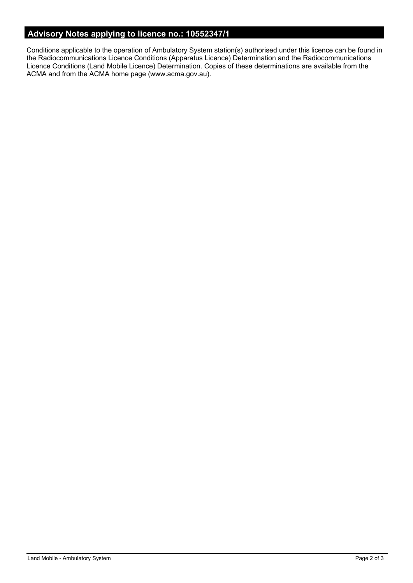# **Advisory Notes applying to licence no.: 10552347/1**

Conditions applicable to the operation of Ambulatory System station(s) authorised under this licence can be found in the Radiocommunications Licence Conditions (Apparatus Licence) Determination and the Radiocommunications Licence Conditions (Land Mobile Licence) Determination. Copies of these determinations are available from the ACMA and from the ACMA home page (www.acma.gov.au).